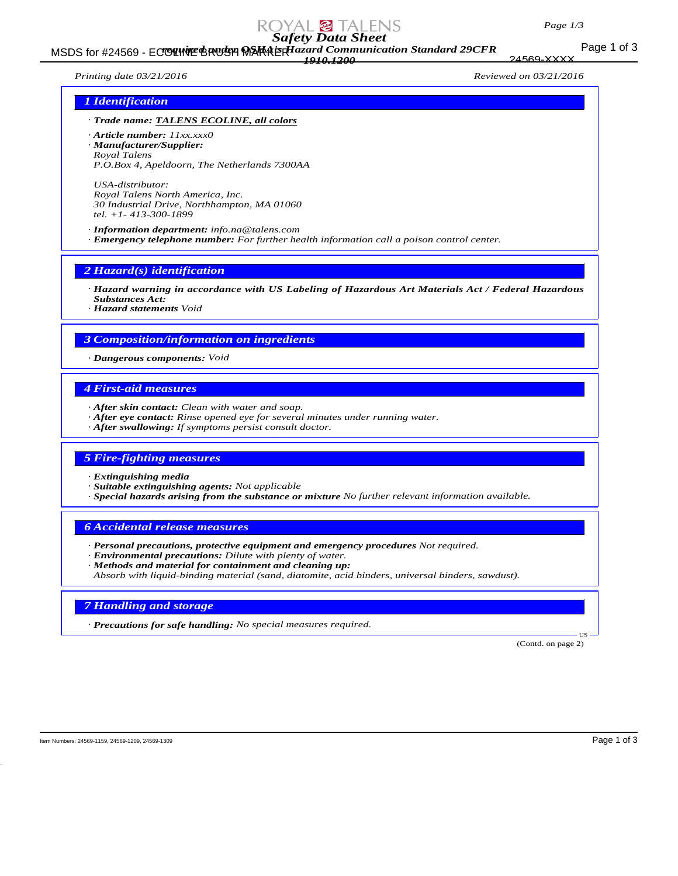#### *Page 1/3*

# *Safety Data Sheet*

#### Page 1 of 3 MSDS for #24569 - ECOLINE BRUSH MARAERIazard Communication Standard 29CFR *1910.1200*

24569-XXXX

# *Printing date 03/21/2016 Reviewed on 03/21/2016*

# *1 Identification*

- *· Trade name: TALENS ECOLINE, all colors*
- *· Article number: 11xx.xxx0 · Manufacturer/Supplier: Royal Talens P.O.Box 4, Apeldoorn, The Netherlands 7300AA*

*USA-distributor: Royal Talens North America, Inc. 30 Industrial Drive, Northhampton, MA 01060 tel. +1- 413-300-1899*

*· Information department: info.na@talens.com · Emergency telephone number: For further health information call a poison control center.*

*2 Hazard(s) identification*

*· Hazard warning in accordance with US Labeling of Hazardous Art Materials Act / Federal Hazardous Substances Act:*

*· Hazard statements Void*

### *3 Composition/information on ingredients*

*· Dangerous components: Void*

# *4 First-aid measures*

- *· After skin contact: Clean with water and soap.*
- *· After eye contact: Rinse opened eye for several minutes under running water.*
- *· After swallowing: If symptoms persist consult doctor.*

# *5 Fire-fighting measures*

- *· Extinguishing media*
- *· Suitable extinguishing agents: Not applicable*
- *· Special hazards arising from the substance or mixture No further relevant information available.*

# *6 Accidental release measures*

- *· Personal precautions, protective equipment and emergency procedures Not required.*
- *· Environmental precautions: Dilute with plenty of water.*
- *· Methods and material for containment and cleaning up: Absorb with liquid-binding material (sand, diatomite, acid binders, universal binders, sawdust).*

# *7 Handling and storage*

*· Precautions for safe handling: No special measures required.*

(Contd. on page 2)

US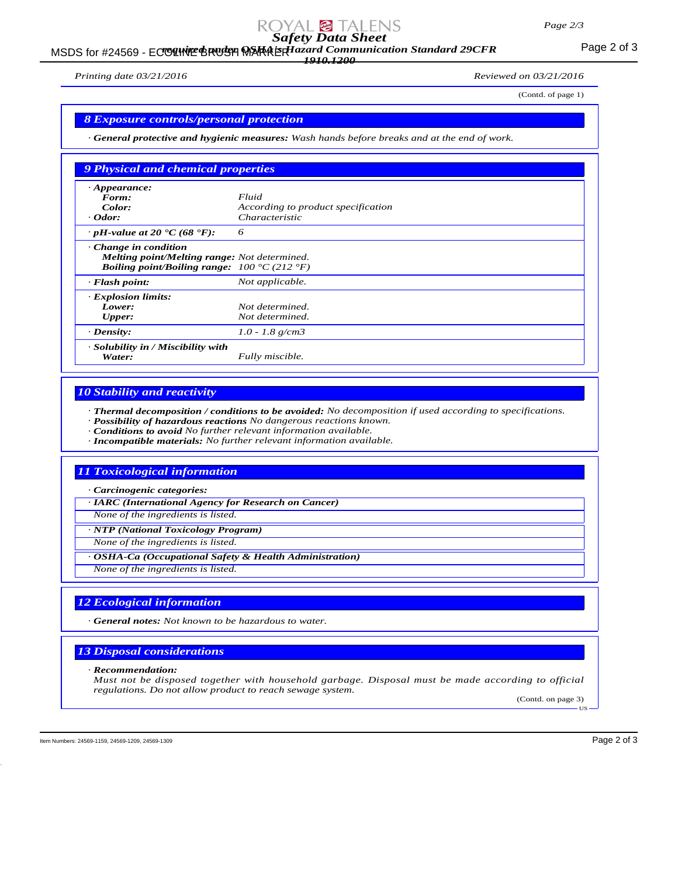# *Safety Data Sheet*

#### MSDS for #24569 - ECOUNTE BRUSH MARAERIazard Communication Standard 29CFR<br>MSDS for #24569 - ECOUNTE BRUSH MARAERIazard Communication Standard 29CFR *1910.1200*

*Printing date 03/21/2016 Reviewed on 03/21/2016*

(Contd. of page 1)

#### *8 Exposure controls/personal protection*

*· General protective and hygienic measures: Wash hands before breaks and at the end of work.*

| 9 Physical and chemical properties                                                                                                                    |                                    |
|-------------------------------------------------------------------------------------------------------------------------------------------------------|------------------------------------|
| $\cdot$ Appearance:                                                                                                                                   |                                    |
| Form:                                                                                                                                                 | Fluid                              |
| Color:                                                                                                                                                | According to product specification |
| $\cdot$ Odor:                                                                                                                                         | <i>Characteristic</i>              |
| $\cdot$ pH-value at 20 $\cdot$ C (68 $\cdot$ F):                                                                                                      | 6                                  |
| $\cdot$ Change in condition<br>Melting point/Melting range: Not determined.<br><b>Boiling point/Boiling range:</b> $100 \degree C$ (212 $\degree F$ ) |                                    |
| $\cdot$ Flash point:                                                                                                                                  | Not applicable.                    |
| · Explosion limits:                                                                                                                                   |                                    |
| Lower:                                                                                                                                                | Not determined.                    |
| <b>Upper:</b>                                                                                                                                         | Not determined.                    |
| $\cdot$ Density:                                                                                                                                      | $1.0 - 1.8$ g/cm3                  |
| $\cdot$ Solubility in / Miscibility with<br>Water:                                                                                                    | Fully miscible.                    |

### *10 Stability and reactivity*

*· Thermal decomposition / conditions to be avoided: No decomposition if used according to specifications.*

- *· Possibility of hazardous reactions No dangerous reactions known.*
- *· Conditions to avoid No further relevant information available.*
- *· Incompatible materials: No further relevant information available.*

# *11 Toxicological information*

*· Carcinogenic categories:*

*· IARC (International Agency for Research on Cancer)*

*None of the ingredients is listed.*

*· NTP (National Toxicology Program)*

*None of the ingredients is listed.*

*· OSHA-Ca (Occupational Safety & Health Administration)*

*None of the ingredients is listed.*

# *12 Ecological information*

*· General notes: Not known to be hazardous to water.*

# *13 Disposal considerations*

#### *· Recommendation:*

*Must not be disposed together with household garbage. Disposal must be made according to official regulations. Do not allow product to reach sewage system.*

(Contd. on page 3) US

Item Numbers: 24569-1159, 24569-1209, 24569-1309 Page 2 of 3